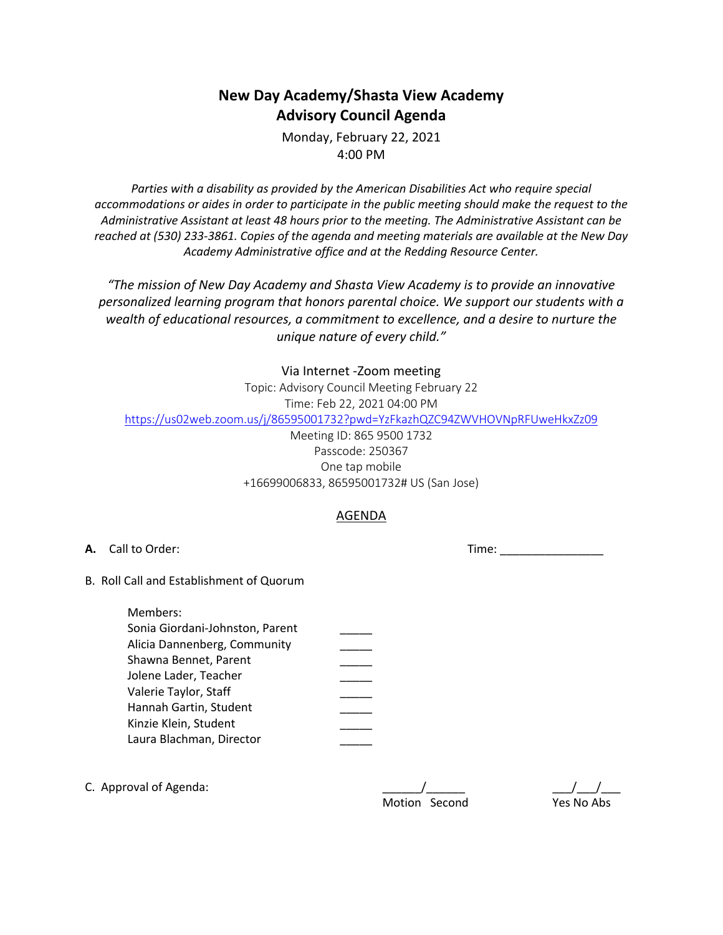# **New Day Academy/Shasta View Academy Advisory Council Agenda**

Monday, February 22, 2021 4:00 PM

*Parties with a disability as provided by the American Disabilities Act who require special accommodations or aides in order to participate in the public meeting should make the request to the Administrative Assistant at least 48 hours prior to the meeting. The Administrative Assistant can be reached at (530) 233-3861. Copies of the agenda and meeting materials are available at the New Day Academy Administrative office and at the Redding Resource Center.*

*"The mission of New Day Academy and Shasta View Academy is to provide an innovative personalized learning program that honors parental choice. We support our students with a wealth of educational resources, a commitment to excellence, and a desire to nurture the unique nature of every child."*

#### Via Internet -Zoom meeting

Topic: Advisory Council Meeting February 22 Time: Feb 22, 2021 04:00 PM https://us02web.zoom.us/j/86595001732?pwd=YzFkazhQZC94ZWVHOVNpRFUweHkxZz09

### Meeting ID: 865 9500 1732 Passcode: 250367 One tap mobile +16699006833, 86595001732# US (San Jose)

## AGENDA

B. Roll Call and Establishment of Quorum

| Members:                        |  |
|---------------------------------|--|
| Sonia Giordani-Johnston, Parent |  |
| Alicia Dannenberg, Community    |  |
| Shawna Bennet, Parent           |  |
| Jolene Lader, Teacher           |  |
| Valerie Taylor, Staff           |  |
| Hannah Gartin, Student          |  |
| Kinzie Klein, Student           |  |
| Laura Blachman, Director        |  |
|                                 |  |

C. Approval of Agenda:  $\sqrt{2}$ 

| <b>Motion</b> | Second |
|---------------|--------|

Yes No Abs

**A.** Call to Order: Time: \_\_\_\_\_\_\_\_\_\_\_\_\_\_\_\_